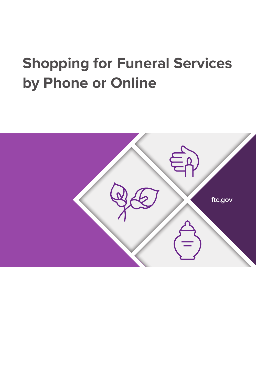# **Shopping for Funeral Services by Phone or Online**

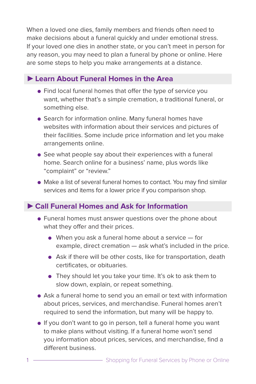When a loved one dies, family members and friends often need to make decisions about a funeral quickly and under emotional stress. If your loved one dies in another state, or you can't meet in person for any reason, you may need to plan a funeral by phone or online. Here are some steps to help you make arrangements at a distance.

## ►**Learn About Funeral Homes in the Area**

- Find local funeral homes that offer the type of service you want, whether that's a simple cremation, a traditional funeral, or something else.
- Search for information online. Many funeral homes have websites with information about their services and pictures of their facilities. Some include price information and let you make arrangements online.
- See what people say about their experiences with a funeral home. Search online for a business' name, plus words like "complaint" or "review."
- Make a list of several funeral homes to contact. You may find similar services and items for a lower price if you comparison shop.

## ►**Call Funeral Homes and Ask for Information**

- Funeral homes must answer questions over the phone about what they offer and their prices.
	- $\bullet$  When you ask a funeral home about a service  $-$  for example, direct cremation — ask what's included in the price.
	- Ask if there will be other costs, like for transportation, death certificates, or obituaries.
	- They should let you take your time. It's ok to ask them to slow down, explain, or repeat something.
- Ask a funeral home to send you an email or text with information about prices, services, and merchandise. Funeral homes aren't required to send the information, but many will be happy to.
- If you don't want to go in person, tell a funeral home you want to make plans without visiting. If a funeral home won't send you information about prices, services, and merchandise, find a different business.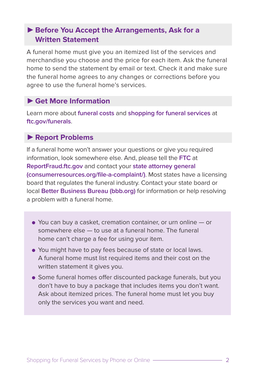## ►**Before You Accept the Arrangements, Ask for a Written Statement**

A funeral home must give you an itemized list of the services and merchandise you choose and the price for each item. Ask the funeral home to send the statement by email or text. Check it and make sure the funeral home agrees to any changes or corrections before you agree to use the funeral home's services.

#### ►**Get More Information**

Learn more about **[funeral costs](https://www.consumer.ftc.gov/articles/0301-funeral-costs-and-pricing-checklist)** and **shopping for funeral services** at **[ftc.gov/funerals](https://www.consumer.ftc.gov/articles/0070-shopping-funeral-services)**.

#### ►**Report Problems**

If a funeral home won't answer your questions or give you required information, look somewhere else. And, please tell the **FTC** at **[ReportFraud.ftc.gov](https://reportfraud.ftc.gov/#/)** and contact your **[state attorney general](https://www.consumerresources.org/file-a-complaint/)  [\(consumerresources.org/file-a-complaint/\)](https://www.consumerresources.org/file-a-complaint/)**. Most states have a licensing board that regulates the funeral industry. Contact your state board or local **[Better Business Bureau \(bbb.org\)](https://www.bbb.org/)** for information or help resolving a problem with a funeral home.

- You can buy a casket, cremation container, or urn online or somewhere else — to use at a funeral home. The funeral home can't charge a fee for using your item.
- You might have to pay fees because of state or local laws. A funeral home must list required items and their cost on the written statement it gives you.
- Some funeral homes offer discounted package funerals, but you don't have to buy a package that includes items you don't want. Ask about itemized prices. The funeral home must let you buy only the services you want and need.